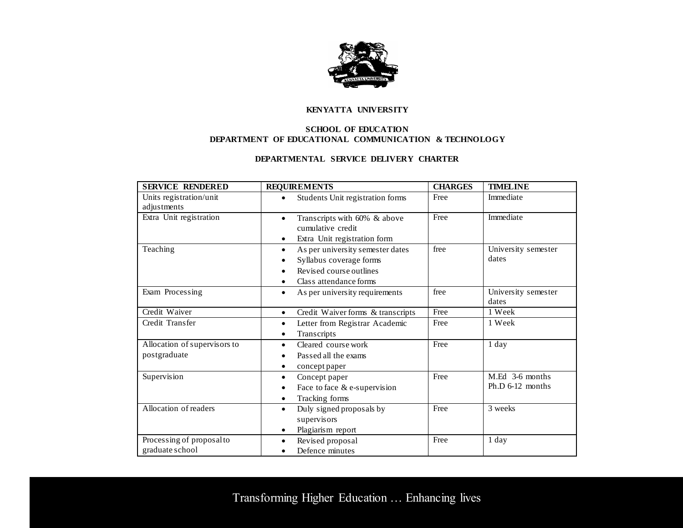

## **KENYATTA UNIVERSITY**

## **SCHOOL OF EDUCATION DEPARTMENT OF EDUCATIONAL COMMUNICATION & TECHNOLOGY**

## **DEPARTMENTAL SERVICE DELIVERY CHARTER**

| <b>SERVICE RENDERED</b>                      | <b>REQUIREMENTS</b>                                                                                                                                     | <b>CHARGES</b> | <b>TIMELINE</b>                     |
|----------------------------------------------|---------------------------------------------------------------------------------------------------------------------------------------------------------|----------------|-------------------------------------|
| Units registration/unit<br>adjustments       | Students Unit registration forms                                                                                                                        | Free           | Immediate                           |
| Extra Unit registration                      | Transcripts with 60% & above<br>$\bullet$<br>cumulative credit<br>Extra Unit registration form                                                          | Free           | Immediate                           |
| Teaching                                     | As per university semester dates<br>$\bullet$<br>Syllabus coverage forms<br>Revised course outlines<br>$\bullet$<br>Class attendance forms<br>$\bullet$ | free           | University semester<br>dates        |
| Exam Processing                              | As per university requirements<br>$\bullet$                                                                                                             | free           | University semester<br>dates        |
| Credit Waiver                                | Credit Waiver forms & transcripts<br>$\bullet$                                                                                                          | Free           | 1 Week                              |
| Credit Transfer                              | Letter from Registrar Academic<br>$\bullet$<br>Transcripts<br>$\bullet$                                                                                 | Free           | 1 Week                              |
| Allocation of supervisors to<br>postgraduate | Cleared course work<br>$\bullet$<br>Passed all the exams<br>concept paper<br>٠                                                                          | Free           | 1 day                               |
| Supervision                                  | Concept paper<br>$\bullet$<br>Face to face & e-supervision<br>$\bullet$<br>Tracking forms<br>$\bullet$                                                  | Free           | M.Ed 3-6 months<br>Ph.D 6-12 months |
| Allocation of readers                        | Duly signed proposals by<br>$\bullet$<br>supervisors<br>Plagiarism report<br>٠                                                                          | Free           | 3 weeks                             |
| Processing of proposal to<br>graduate school | Revised proposal<br>$\bullet$<br>Defence minutes                                                                                                        | Free           | 1 day                               |

Transforming Higher Education … Enhancing lives